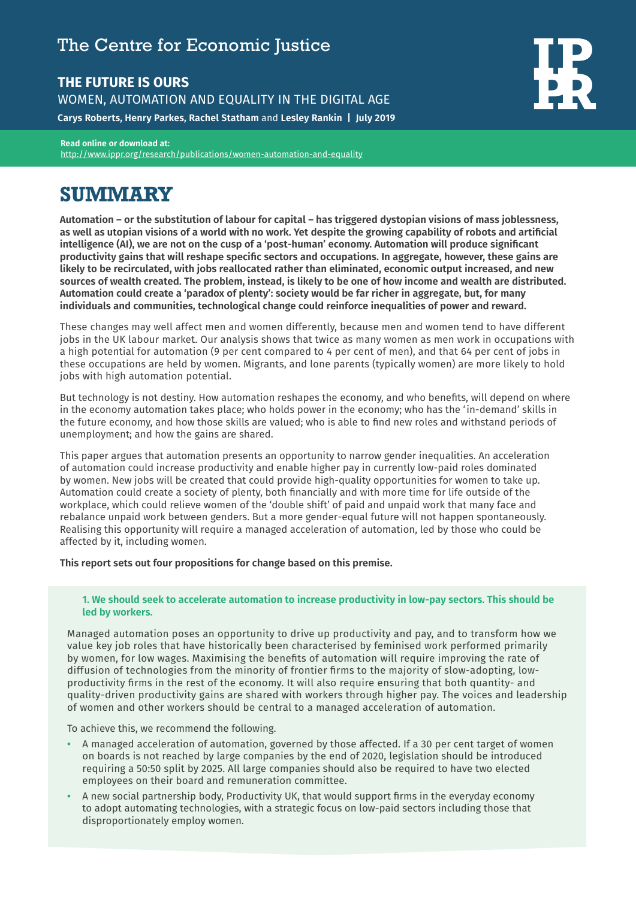## The Centre for Economic Justice

## **THE FUTURE IS OURS**

WOMEN, AUTOMATION AND EQUALITY IN THE DIGITAL AGE

**Carys Roberts, Henry Parkes, Rachel Statham** and **Lesley Rankin | July 2019**

**Read online or download at:**  <http://www.ippr.org/research/publications/women-automation-and-equality>

# **SUMMARY**

**Automation – or the substitution of labour for capital – has triggered dystopian visions of mass joblessness, as well as utopian visions of a world with no work. Yet despite the growing capability of robots and artificial intelligence (AI), we are not on the cusp of a 'post-human' economy. Automation will produce significant productivity gains that will reshape specific sectors and occupations. In aggregate, however, these gains are likely to be recirculated, with jobs reallocated rather than eliminated, economic output increased, and new sources of wealth created. The problem, instead, is likely to be one of how income and wealth are distributed. Automation could create a 'paradox of plenty': society would be far richer in aggregate, but, for many individuals and communities, technological change could reinforce inequalities of power and reward.**

These changes may well affect men and women differently, because men and women tend to have different jobs in the UK labour market. Our analysis shows that twice as many women as men work in occupations with a high potential for automation (9 per cent compared to 4 per cent of men), and that 64 per cent of jobs in these occupations are held by women. Migrants, and lone parents (typically women) are more likely to hold jobs with high automation potential.

But technology is not destiny. How automation reshapes the economy, and who benefits, will depend on where in the economy automation takes place; who holds power in the economy; who has the 'in-demand' skills in the future economy, and how those skills are valued; who is able to find new roles and withstand periods of unemployment; and how the gains are shared.

This paper argues that automation presents an opportunity to narrow gender inequalities. An acceleration of automation could increase productivity and enable higher pay in currently low-paid roles dominated by women. New jobs will be created that could provide high-quality opportunities for women to take up. Automation could create a society of plenty, both financially and with more time for life outside of the workplace, which could relieve women of the 'double shift' of paid and unpaid work that many face and rebalance unpaid work between genders. But a more gender-equal future will not happen spontaneously. Realising this opportunity will require a managed acceleration of automation, led by those who could be affected by it, including women.

**This report sets out four propositions for change based on this premise.**

#### **1. We should seek to accelerate automation to increase productivity in low-pay sectors. This should be led by workers.**

Managed automation poses an opportunity to drive up productivity and pay, and to transform how we value key job roles that have historically been characterised by feminised work performed primarily by women, for low wages. Maximising the benefits of automation will require improving the rate of diffusion of technologies from the minority of frontier firms to the majority of slow-adopting, lowproductivity firms in the rest of the economy. It will also require ensuring that both quantity- and quality-driven productivity gains are shared with workers through higher pay. The voices and leadership of women and other workers should be central to a managed acceleration of automation.

To achieve this, we recommend the following.

- **•** A managed acceleration of automation, governed by those affected. If a 30 per cent target of women on boards is not reached by large companies by the end of 2020, legislation should be introduced requiring a 50:50 split by 2025. All large companies should also be required to have two elected employees on their board and remuneration committee.
- **•** A new social partnership body, Productivity UK, that would support firms in the everyday economy to adopt automating technologies, with a strategic focus on low-paid sectors including those that disproportionately employ women.